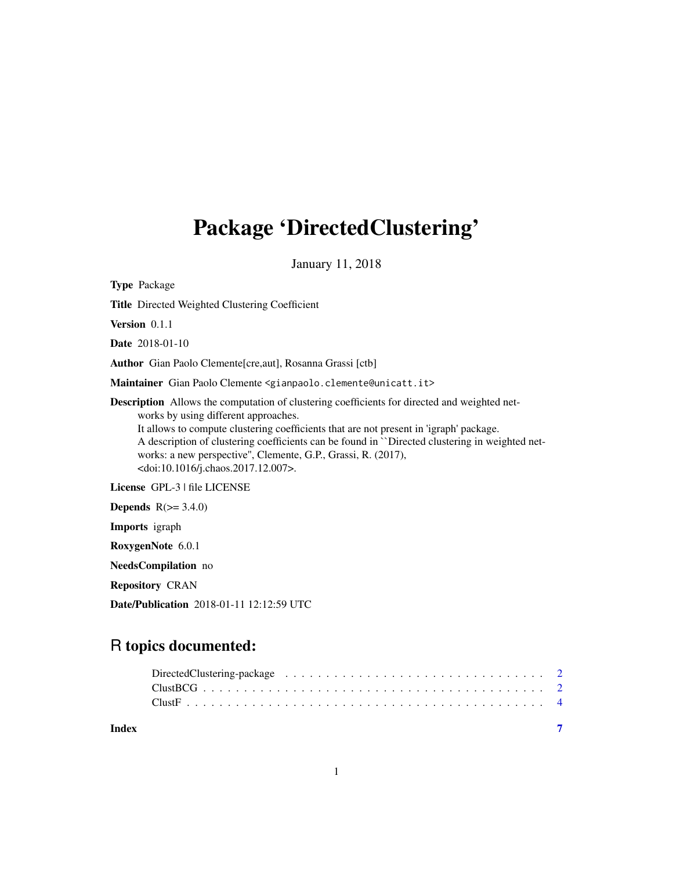## Package 'DirectedClustering'

January 11, 2018

Type Package Title Directed Weighted Clustering Coefficient Version 0.1.1 Date 2018-01-10 Author Gian Paolo Clemente[cre,aut], Rosanna Grassi [ctb] Maintainer Gian Paolo Clemente <gianpaolo.clemente@unicatt.it> Description Allows the computation of clustering coefficients for directed and weighted networks by using different approaches. It allows to compute clustering coefficients that are not present in 'igraph' package. A description of clustering coefficients can be found in ``Directed clustering in weighted networks: a new perspective'', Clemente, G.P., Grassi, R. (2017), <doi:10.1016/j.chaos.2017.12.007>. License GPL-3 | file LICENSE **Depends**  $R(>= 3.4.0)$ Imports igraph RoxygenNote 6.0.1 NeedsCompilation no Repository CRAN

Date/Publication 2018-01-11 12:12:59 UTC

### R topics documented:

**Index** [7](#page-6-0) **7**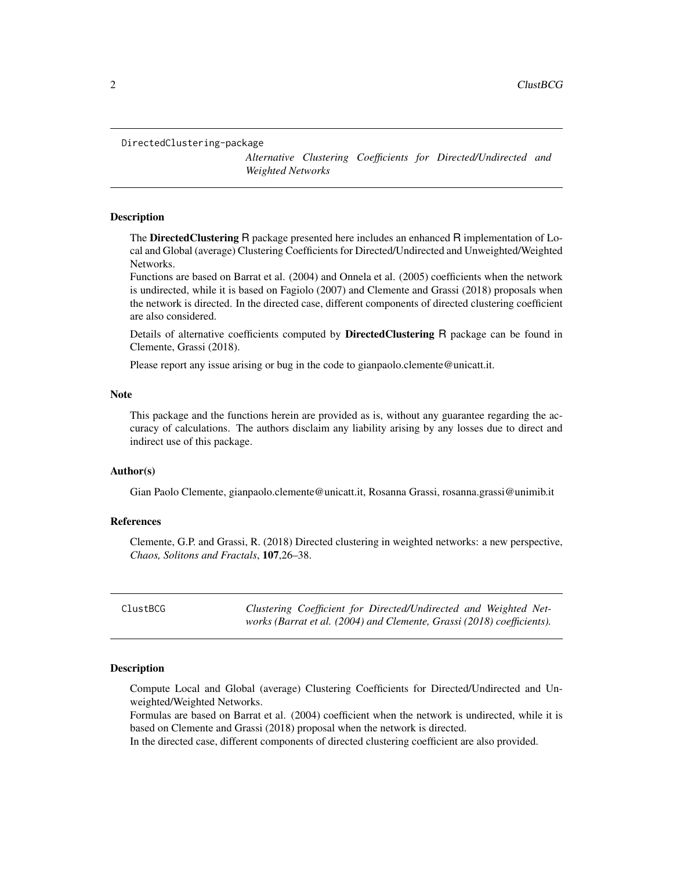```
DirectedClustering-package
```
*Alternative Clustering Coefficients for Directed/Undirected and Weighted Networks*

#### Description

The **DirectedClustering** R package presented here includes an enhanced R implementation of Local and Global (average) Clustering Coefficients for Directed/Undirected and Unweighted/Weighted Networks.

Functions are based on Barrat et al. (2004) and Onnela et al. (2005) coefficients when the network is undirected, while it is based on Fagiolo (2007) and Clemente and Grassi (2018) proposals when the network is directed. In the directed case, different components of directed clustering coefficient are also considered.

Details of alternative coefficients computed by **DirectedClustering** R package can be found in Clemente, Grassi (2018).

Please report any issue arising or bug in the code to gianpaolo.clemente@unicatt.it.

#### **Note**

This package and the functions herein are provided as is, without any guarantee regarding the accuracy of calculations. The authors disclaim any liability arising by any losses due to direct and indirect use of this package.

#### Author(s)

Gian Paolo Clemente, gianpaolo.clemente@unicatt.it, Rosanna Grassi, rosanna.grassi@unimib.it

#### References

Clemente, G.P. and Grassi, R. (2018) Directed clustering in weighted networks: a new perspective, *Chaos, Solitons and Fractals*, 107,26–38.

ClustBCG *Clustering Coefficient for Directed/Undirected and Weighted Networks (Barrat et al. (2004) and Clemente, Grassi (2018) coefficients).*

#### **Description**

Compute Local and Global (average) Clustering Coefficients for Directed/Undirected and Unweighted/Weighted Networks.

Formulas are based on Barrat et al. (2004) coefficient when the network is undirected, while it is based on Clemente and Grassi (2018) proposal when the network is directed.

In the directed case, different components of directed clustering coefficient are also provided.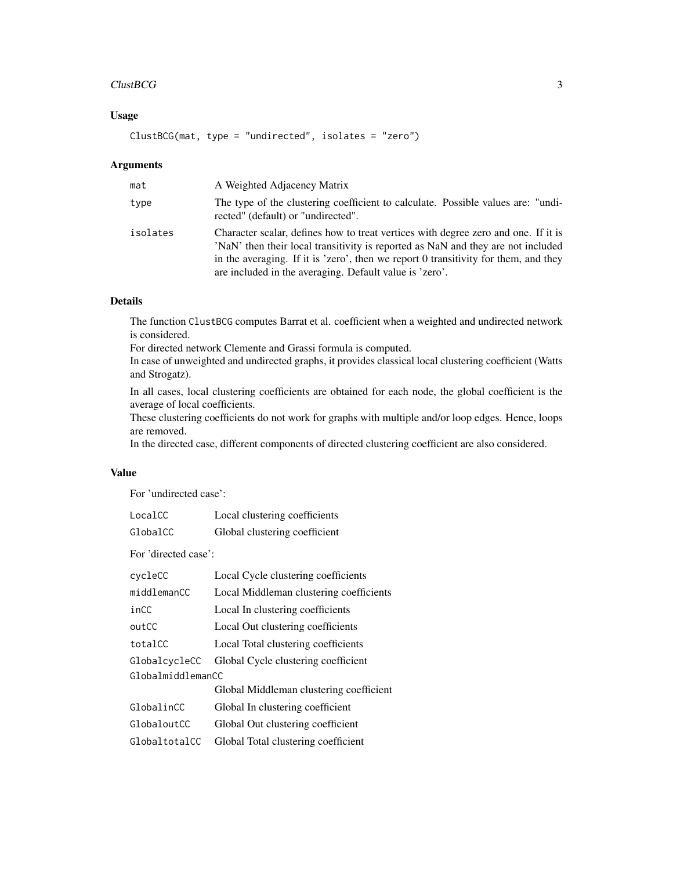#### $ClustBCG$  3

#### Usage

```
ClustBCG(mat, type = "undirected", isolates = "zero")
```
#### Arguments

| mat      | A Weighted Adjacency Matrix                                                                                                                                                                                                                                                                                              |
|----------|--------------------------------------------------------------------------------------------------------------------------------------------------------------------------------------------------------------------------------------------------------------------------------------------------------------------------|
| type     | The type of the clustering coefficient to calculate. Possible values are: "undi-<br>rected" (default) or "undirected".                                                                                                                                                                                                   |
| isolates | Character scalar, defines how to treat vertices with degree zero and one. If it is<br>'NaN' then their local transitivity is reported as NaN and they are not included<br>in the averaging. If it is 'zero', then we report 0 transitivity for them, and they<br>are included in the averaging. Default value is 'zero'. |

#### Details

The function ClustBCG computes Barrat et al. coefficient when a weighted and undirected network is considered.

For directed network Clemente and Grassi formula is computed.

In case of unweighted and undirected graphs, it provides classical local clustering coefficient (Watts and Strogatz).

In all cases, local clustering coefficients are obtained for each node, the global coefficient is the average of local coefficients.

These clustering coefficients do not work for graphs with multiple and/or loop edges. Hence, loops are removed.

In the directed case, different components of directed clustering coefficient are also considered.

#### Value

For 'undirected case':

| LocalCC  | Local clustering coefficients |
|----------|-------------------------------|
| GlobalCC | Global clustering coefficient |

For 'directed case':

| cycleCC           | Local Cycle clustering coefficients     |  |
|-------------------|-----------------------------------------|--|
| middlemanCC       | Local Middleman clustering coefficients |  |
| inCC              | Local In clustering coefficients        |  |
| outCC             | Local Out clustering coefficients       |  |
| totalCC           | Local Total clustering coefficients     |  |
| GlobalcycleCC     | Global Cycle clustering coefficient     |  |
| GlobalmiddlemanCC |                                         |  |
|                   | Global Middleman clustering coefficient |  |
| GlobalinCC        | Global In clustering coefficient        |  |
| GlobaloutCC       | Global Out clustering coefficient       |  |
| GlobaltotalCC     | Global Total clustering coefficient     |  |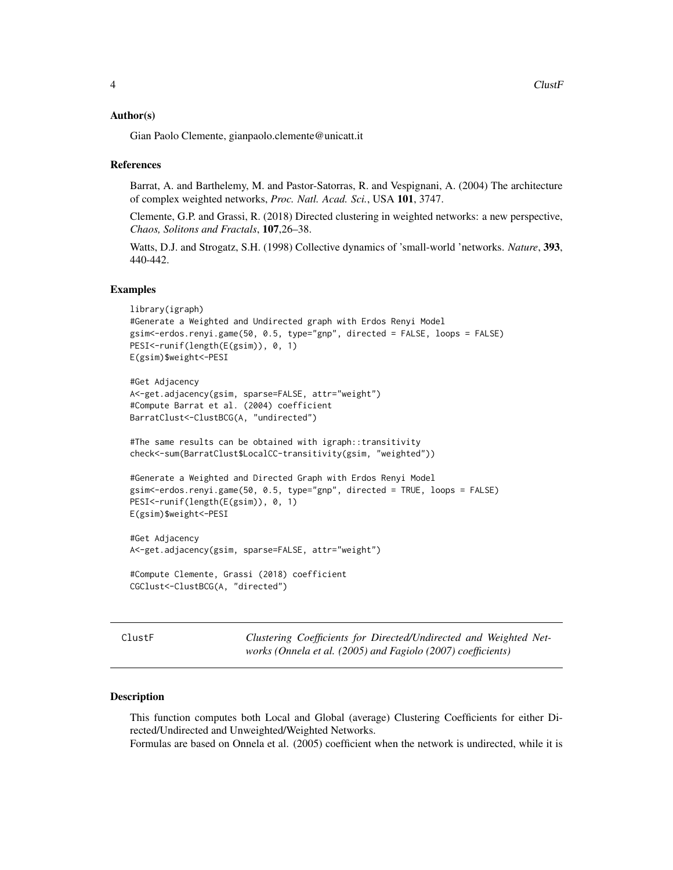#### <span id="page-3-0"></span>Author(s)

Gian Paolo Clemente, gianpaolo.clemente@unicatt.it

#### References

Barrat, A. and Barthelemy, M. and Pastor-Satorras, R. and Vespignani, A. (2004) The architecture of complex weighted networks, *Proc. Natl. Acad. Sci.*, USA 101, 3747.

Clemente, G.P. and Grassi, R. (2018) Directed clustering in weighted networks: a new perspective, *Chaos, Solitons and Fractals*, 107,26–38.

Watts, D.J. and Strogatz, S.H. (1998) Collective dynamics of 'small-world 'networks. *Nature*, 393, 440-442.

#### Examples

```
library(igraph)
#Generate a Weighted and Undirected graph with Erdos Renyi Model
gsim<-erdos.renyi.game(50, 0.5, type="gnp", directed = FALSE, loops = FALSE)
PESI<-runif(length(E(gsim)), 0, 1)
E(gsim)$weight<-PESI
#Get Adjacency
A<-get.adjacency(gsim, sparse=FALSE, attr="weight")
#Compute Barrat et al. (2004) coefficient
BarratClust<-ClustBCG(A, "undirected")
#The same results can be obtained with igraph::transitivity
check<-sum(BarratClust$LocalCC-transitivity(gsim, "weighted"))
#Generate a Weighted and Directed Graph with Erdos Renyi Model
gsim<-erdos.renyi.game(50, 0.5, type="gnp", directed = TRUE, loops = FALSE)
PESI<-runif(length(E(gsim)), 0, 1)
E(gsim)$weight<-PESI
#Get Adjacency
A<-get.adjacency(gsim, sparse=FALSE, attr="weight")
#Compute Clemente, Grassi (2018) coefficient
CGClust<-ClustBCG(A, "directed")
```

| us |
|----|
|----|

Clustering Coefficients for Directed/Undirected and Weighted Net*works (Onnela et al. (2005) and Fagiolo (2007) coefficients)*

#### Description

This function computes both Local and Global (average) Clustering Coefficients for either Directed/Undirected and Unweighted/Weighted Networks.

Formulas are based on Onnela et al. (2005) coefficient when the network is undirected, while it is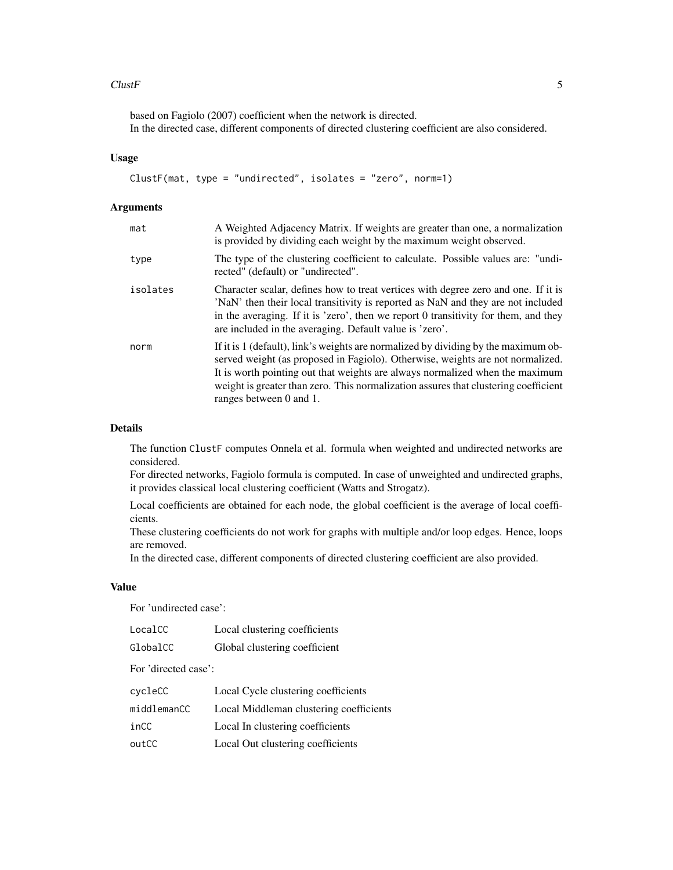#### $Cluster$  5

based on Fagiolo (2007) coefficient when the network is directed. In the directed case, different components of directed clustering coefficient are also considered.

#### Usage

```
ClustF(mat, type = "undirected", isolates = "zero", norm=1)
```
#### Arguments

| mat      | A Weighted Adjacency Matrix. If weights are greater than one, a normalization<br>is provided by dividing each weight by the maximum weight observed.                                                                                                                                                                                                                   |
|----------|------------------------------------------------------------------------------------------------------------------------------------------------------------------------------------------------------------------------------------------------------------------------------------------------------------------------------------------------------------------------|
| type     | The type of the clustering coefficient to calculate. Possible values are: "undi-<br>rected" (default) or "undirected".                                                                                                                                                                                                                                                 |
| isolates | Character scalar, defines how to treat vertices with degree zero and one. If it is<br>'NaN' then their local transitivity is reported as NaN and they are not included<br>in the averaging. If it is 'zero', then we report 0 transitivity for them, and they<br>are included in the averaging. Default value is 'zero'.                                               |
| norm     | If it is 1 (default), link's weights are normalized by dividing by the maximum ob-<br>served weight (as proposed in Fagiolo). Otherwise, weights are not normalized.<br>It is worth pointing out that weights are always normalized when the maximum<br>weight is greater than zero. This normalization assures that clustering coefficient<br>ranges between 0 and 1. |

#### Details

The function ClustF computes Onnela et al. formula when weighted and undirected networks are considered.

For directed networks, Fagiolo formula is computed. In case of unweighted and undirected graphs, it provides classical local clustering coefficient (Watts and Strogatz).

Local coefficients are obtained for each node, the global coefficient is the average of local coefficients.

These clustering coefficients do not work for graphs with multiple and/or loop edges. Hence, loops are removed.

In the directed case, different components of directed clustering coefficient are also provided.

#### Value

For 'undirected case':

| LocalCC  | Local clustering coefficients |
|----------|-------------------------------|
| GlobalCC | Global clustering coefficient |

For 'directed case':

| cycleCC     | Local Cycle clustering coefficients     |
|-------------|-----------------------------------------|
| middlemanCC | Local Middleman clustering coefficients |
| inCC        | Local In clustering coefficients        |
| outCC       | Local Out clustering coefficients       |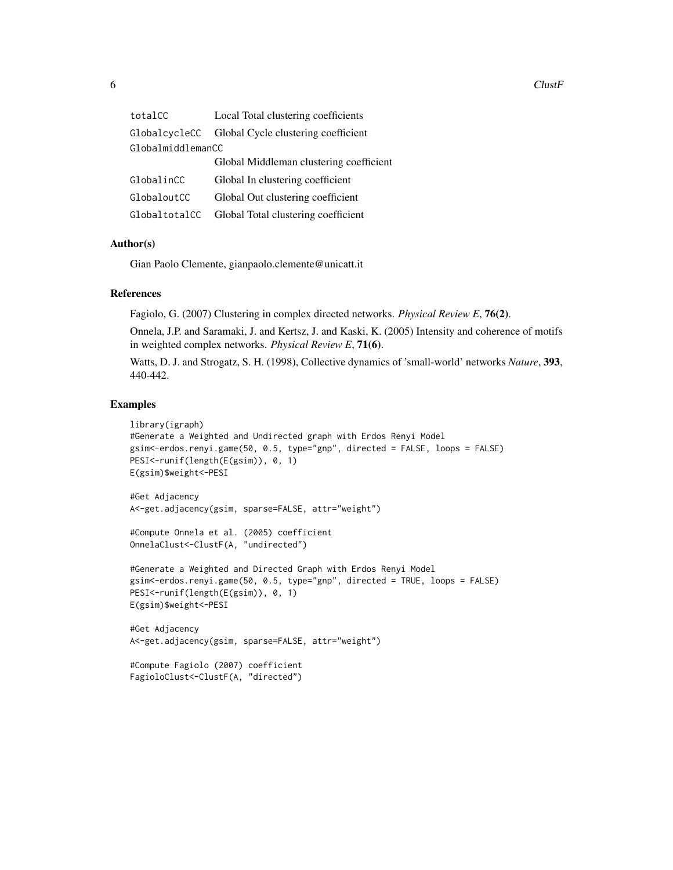$6$  ClustF

| totalCC           | Local Total clustering coefficients               |
|-------------------|---------------------------------------------------|
|                   | GlobalcycleCC Global Cycle clustering coefficient |
| GlobalmiddlemanCC |                                                   |
|                   | Global Middleman clustering coefficient           |
| GlobalinCC        | Global In clustering coefficient                  |
| GlobaloutCC       | Global Out clustering coefficient                 |
| GlobaltotalCC     | Global Total clustering coefficient               |

#### Author(s)

Gian Paolo Clemente, gianpaolo.clemente@unicatt.it

#### References

Fagiolo, G. (2007) Clustering in complex directed networks. *Physical Review E*, 76(2).

Onnela, J.P. and Saramaki, J. and Kertsz, J. and Kaski, K. (2005) Intensity and coherence of motifs in weighted complex networks. *Physical Review E*, 71(6).

Watts, D. J. and Strogatz, S. H. (1998), Collective dynamics of 'small-world' networks *Nature*, 393, 440-442.

#### Examples

```
library(igraph)
#Generate a Weighted and Undirected graph with Erdos Renyi Model
gsim<-erdos.renyi.game(50, 0.5, type="gnp", directed = FALSE, loops = FALSE)
PESI<-runif(length(E(gsim)), 0, 1)
E(gsim)$weight<-PESI
#Get Adjacency
A<-get.adjacency(gsim, sparse=FALSE, attr="weight")
#Compute Onnela et al. (2005) coefficient
OnnelaClust<-ClustF(A, "undirected")
#Generate a Weighted and Directed Graph with Erdos Renyi Model
gsim<-erdos.renyi.game(50, 0.5, type="gnp", directed = TRUE, loops = FALSE)
PESI<-runif(length(E(gsim)), 0, 1)
E(gsim)$weight<-PESI
#Get Adjacency
```

```
A<-get.adjacency(gsim, sparse=FALSE, attr="weight")
```

```
#Compute Fagiolo (2007) coefficient
FagioloClust<-ClustF(A, "directed")
```